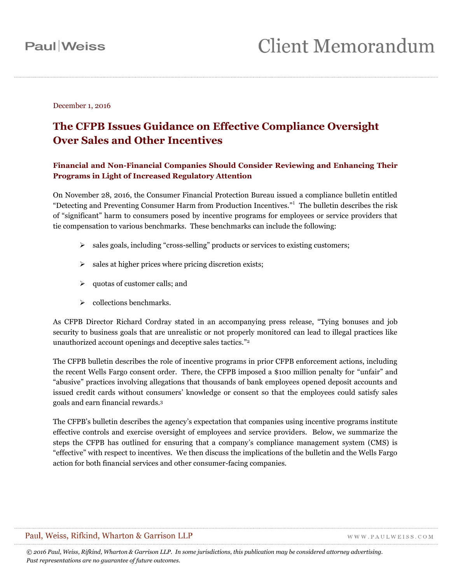December 1, 2016

### **The CFPB Issues Guidance on Effective Compliance Oversight Over Sales and Other Incentives**

### **Financial and Non-Financial Companies Should Consider Reviewing and Enhancing Their Programs in Light of Increased Regulatory Attention**

On November 28, 2016, the Consumer Financial Protection Bureau issued a compliance bulletin entitled "Detecting and Preventing Consumer Harm from Production Incentives." 1 The bulletin describes the risk of "significant" harm to consumers posed by incentive programs for employees or service providers that tie compensation to various benchmarks. These benchmarks can include the following:

- sales goals, including "cross-selling" products or services to existing customers;
- $\triangleright$  sales at higher prices where pricing discretion exists;
- $\triangleright$  quotas of customer calls; and
- $\triangleright$  collections benchmarks.

As CFPB Director Richard Cordray stated in an accompanying press release, "Tying bonuses and job security to business goals that are unrealistic or not properly monitored can lead to illegal practices like unauthorized account openings and deceptive sales tactics." 2

The CFPB bulletin describes the role of incentive programs in prior CFPB enforcement actions, including the recent Wells Fargo consent order. There, the CFPB imposed a \$100 million penalty for "unfair" and "abusive" practices involving allegations that thousands of bank employees opened deposit accounts and issued credit cards without consumers' knowledge or consent so that the employees could satisfy sales goals and earn financial rewards.<sup>3</sup>

The CFPB's bulletin describes the agency's expectation that companies using incentive programs institute effective controls and exercise oversight of employees and service providers. Below, we summarize the steps the CFPB has outlined for ensuring that a company's compliance management system (CMS) is "effective" with respect to incentives. We then discuss the implications of the bulletin and the Wells Fargo action for both financial services and other consumer-facing companies.

### Paul, Weiss, Rifkind, Wharton & Garrison LLP

WWW.PAULWEISS.COM

*© 2016 Paul, Weiss, Rifkind, Wharton & Garrison LLP. In some jurisdictions, this publication may be considered attorney advertising. Past representations are no guarantee of future outcomes.*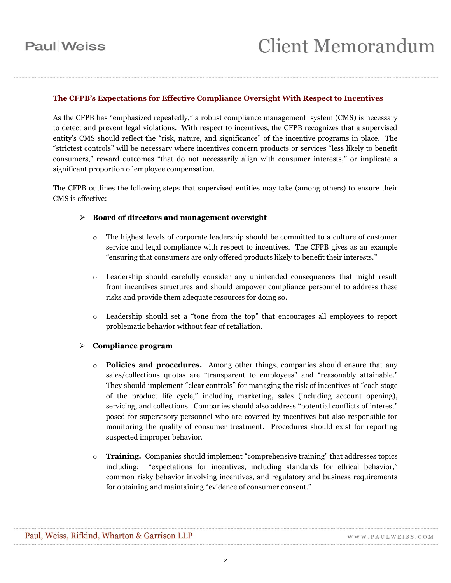#### **The CFPB's Expectations for Effective Compliance Oversight With Respect to Incentives**

As the CFPB has "emphasized repeatedly," a robust compliance management system (CMS) is necessary to detect and prevent legal violations. With respect to incentives, the CFPB recognizes that a supervised entity's CMS should reflect the "risk, nature, and significance" of the incentive programs in place. The "strictest controls" will be necessary where incentives concern products or services "less likely to benefit consumers," reward outcomes "that do not necessarily align with consumer interests," or implicate a significant proportion of employee compensation.

The CFPB outlines the following steps that supervised entities may take (among others) to ensure their CMS is effective:

### **Board of directors and management oversight**

- o The highest levels of corporate leadership should be committed to a culture of customer service and legal compliance with respect to incentives. The CFPB gives as an example "ensuring that consumers are only offered products likely to benefit their interests."
- o Leadership should carefully consider any unintended consequences that might result from incentives structures and should empower compliance personnel to address these risks and provide them adequate resources for doing so.
- o Leadership should set a "tone from the top" that encourages all employees to report problematic behavior without fear of retaliation.

#### **Compliance program**

- o **Policies and procedures.** Among other things, companies should ensure that any sales/collections quotas are "transparent to employees" and "reasonably attainable." They should implement "clear controls" for managing the risk of incentives at "each stage of the product life cycle," including marketing, sales (including account opening), servicing, and collections. Companies should also address "potential conflicts of interest" posed for supervisory personnel who are covered by incentives but also responsible for monitoring the quality of consumer treatment. Procedures should exist for reporting suspected improper behavior.
- o **Training.** Companies should implement "comprehensive training" that addresses topics including: "expectations for incentives, including standards for ethical behavior," common risky behavior involving incentives, and regulatory and business requirements for obtaining and maintaining "evidence of consumer consent."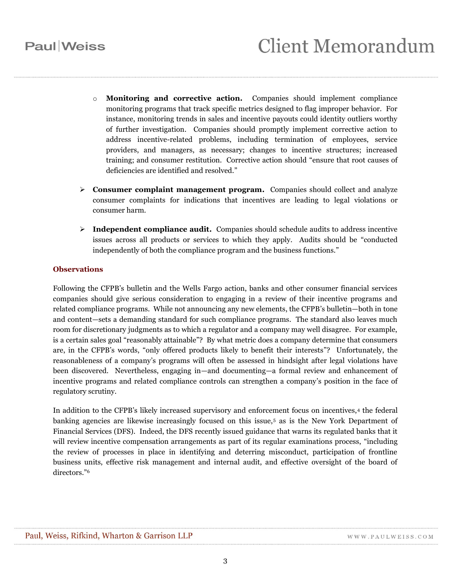## **Paul** Weiss

- o **Monitoring and corrective action.** Companies should implement compliance monitoring programs that track specific metrics designed to flag improper behavior. For instance, monitoring trends in sales and incentive payouts could identity outliers worthy of further investigation. Companies should promptly implement corrective action to address incentive-related problems, including termination of employees, service providers, and managers, as necessary; changes to incentive structures; increased training; and consumer restitution. Corrective action should "ensure that root causes of deficiencies are identified and resolved."
- **Consumer complaint management program.** Companies should collect and analyze consumer complaints for indications that incentives are leading to legal violations or consumer harm.
- **Independent compliance audit.** Companies should schedule audits to address incentive issues across all products or services to which they apply. Audits should be "conducted independently of both the compliance program and the business functions."

### **Observations**

Following the CFPB's bulletin and the Wells Fargo action, banks and other consumer financial services companies should give serious consideration to engaging in a review of their incentive programs and related compliance programs. While not announcing any new elements, the CFPB's bulletin—both in tone and content—sets a demanding standard for such compliance programs. The standard also leaves much room for discretionary judgments as to which a regulator and a company may well disagree. For example, is a certain sales goal "reasonably attainable"? By what metric does a company determine that consumers are, in the CFPB's words, "only offered products likely to benefit their interests"? Unfortunately, the reasonableness of a company's programs will often be assessed in hindsight after legal violations have been discovered. Nevertheless, engaging in—and documenting—a formal review and enhancement of incentive programs and related compliance controls can strengthen a company's position in the face of regulatory scrutiny.

In addition to the CFPB's likely increased supervisory and enforcement focus on incentives,<sup>4</sup> the federal banking agencies are likewise increasingly focused on this issue,<sup>5</sup> as is the New York Department of Financial Services (DFS). Indeed, the DFS recently issued guidance that warns its regulated banks that it will review incentive compensation arrangements as part of its regular examinations process, "including the review of processes in place in identifying and deterring misconduct, participation of frontline business units, effective risk management and internal audit, and effective oversight of the board of directors." 6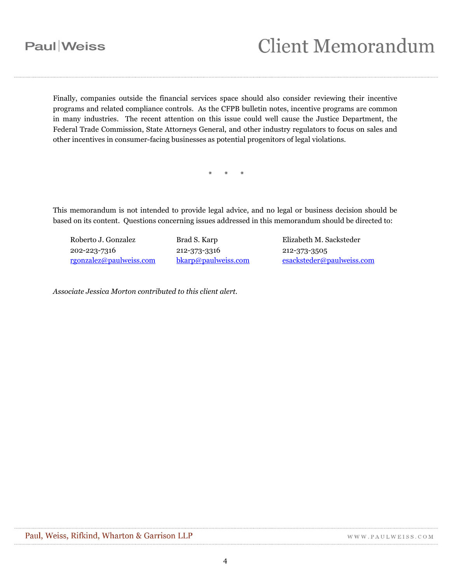# **Client Memorandum**

Finally, companies outside the financial services space should also consider reviewing their incentive programs and related compliance controls. As the CFPB bulletin notes, incentive programs are common in many industries. The recent attention on this issue could well cause the Justice Department, the Federal Trade Commission, State Attorneys General, and other industry regulators to focus on sales and other incentives in consumer-facing businesses as potential progenitors of legal violations.

\* \* \*

This memorandum is not intended to provide legal advice, and no legal or business decision should be based on its content. Questions concerning issues addressed in this memorandum should be directed to:

Roberto J. Gonzalez 202-223-7316 [rgonzalez@paulweiss.com](mailto:rgonzalez@paulweiss.com) Brad S. Karp 212-373-3316 [bkarp@paulweiss.com](mailto:bkarp@paulweiss.com) Elizabeth M. Sacksteder 212-373-3505 [esacksteder@paulweiss.com](mailto:esacksteder@paulweiss.com)

*Associate Jessica Morton contributed to this client alert.*